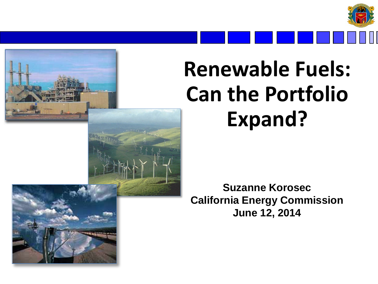

## **Renewable Fuels: Can the Portfolio Expand?**

**Suzanne Korosec California Energy Commission June 12, 2014**

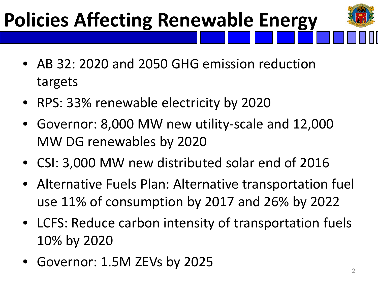## **Policies Affecting Renewable Energy**

- 
- AB 32: 2020 and 2050 GHG emission reduction targets
- RPS: 33% renewable electricity by 2020
- Governor: 8,000 MW new utility-scale and 12,000 MW DG renewables by 2020
- CSI: 3,000 MW new distributed solar end of 2016
- Alternative Fuels Plan: Alternative transportation fuel use 11% of consumption by 2017 and 26% by 2022
- LCFS: Reduce carbon intensity of transportation fuels 10% by 2020
- Governor:  $1.5M$  ZEVs by 2025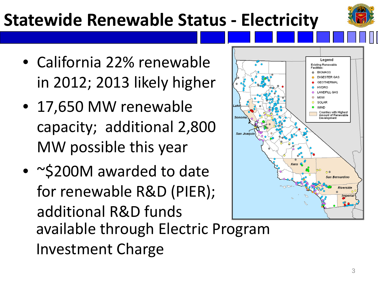#### **Statewide Renewable Status - Electricity**

- California 22% renewable in 2012; 2013 likely higher
- 17,650 MW renewable capacity; additional 2,800 MW possible this year
- ~\$200M awarded to date for renewable R&D (PIER); additional R&D funds available through Electric Program Investment Charge

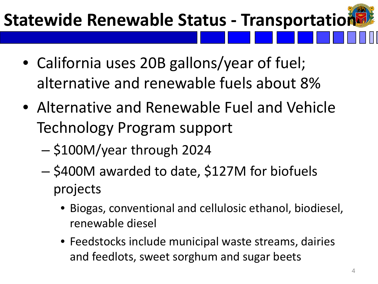#### **Statewide Renewable Status - Transportation**

- California uses 20B gallons/year of fuel; alternative and renewable fuels about 8%
- Alternative and Renewable Fuel and Vehicle Technology Program support
	- \$100M/year through 2024
	- \$400M awarded to date, \$127M for biofuels projects
		- Biogas, conventional and cellulosic ethanol, biodiesel, renewable diesel
		- Feedstocks include municipal waste streams, dairies and feedlots, sweet sorghum and sugar beets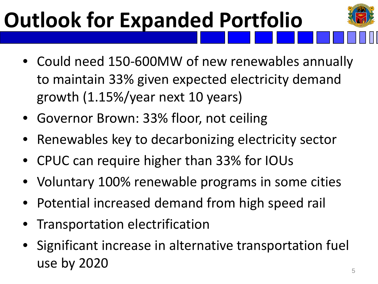# **Outlook for Expanded Portfolio**

- Could need 150-600MW of new renewables annually to maintain 33% given expected electricity demand growth (1.15%/year next 10 years)
- Governor Brown: 33% floor, not ceiling
- Renewables key to decarbonizing electricity sector
- CPUC can require higher than 33% for IOUs
- Voluntary 100% renewable programs in some cities
- Potential increased demand from high speed rail
- Transportation electrification
- Significant increase in alternative transportation fuel use by 2020  $\overline{\phantom{0}}$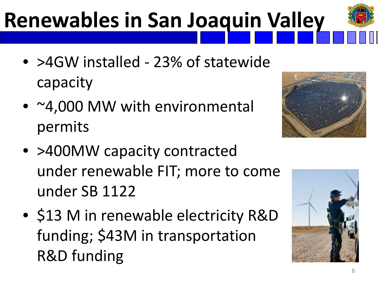## **Renewables in San Joaquin Valley**

- >4GW installed 23% of statewide capacity
- ~4,000 MW with environmental permits
- >400MW capacity contracted under renewable FIT; more to come under SB 1122
- \$13 M in renewable electricity R&D funding; \$43M in transportation R&D funding



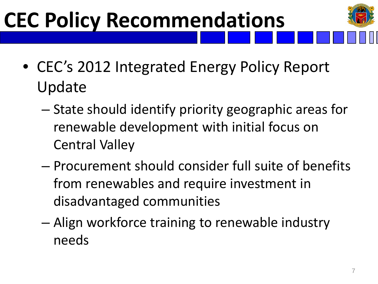# **CEC Policy Recommendations**

- CEC's 2012 Integrated Energy Policy Report Update
	- State should identify priority geographic areas for renewable development with initial focus on Central Valley
	- Procurement should consider full suite of benefits from renewables and require investment in disadvantaged communities
	- Align workforce training to renewable industry needs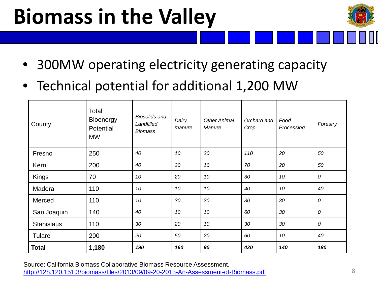## **Biomass in the Valley**



- 300MW operating electricity generating capacity
- Technical potential for additional 1,200 MW

| County            | Total<br><b>Bioenergy</b><br>Potential<br><b>MW</b> | <b>Biosolids and</b><br>Landfilled<br><b>Biomass</b> | Dairy<br>manure | <b>Other Animal</b><br>Manure | Orchard and<br>Crop | Food<br>Processing | Forestry      |
|-------------------|-----------------------------------------------------|------------------------------------------------------|-----------------|-------------------------------|---------------------|--------------------|---------------|
| Fresno            | 250                                                 | 40                                                   | 10              | 20                            | 110                 | 20                 | 50            |
| Kern              | 200                                                 | 40                                                   | 20              | 10                            | 70                  | 20                 | 50            |
| Kings             | 70                                                  | 10                                                   | 20              | 10                            | 30                  | 10                 | 0             |
| Madera            | 110                                                 | 10                                                   | 10              | 10                            | 40                  | 10                 | 40            |
| Merced            | 110                                                 | 10                                                   | 30              | 20                            | 30                  | 30                 | $\mathcal{O}$ |
| San Joaquin       | 140                                                 | 40                                                   | 10              | 10                            | 60                  | 30                 | $\mathcal{O}$ |
| <b>Stanislaus</b> | 110                                                 | 30                                                   | 20              | 10                            | 30                  | 30                 | 0             |
| Tulare            | 200                                                 | 20                                                   | 50              | 20                            | 60                  | 10                 | 40            |
| <b>Total</b>      | 1,180                                               | 190                                                  | 160             | 90                            | 420                 | 140                | 180           |

Source: California Biomass Collaborative Biomass Resource Assessment. <http://128.120.151.3/biomass/files/2013/09/09-20-2013-An-Assessment-of-Biomass.pdf>